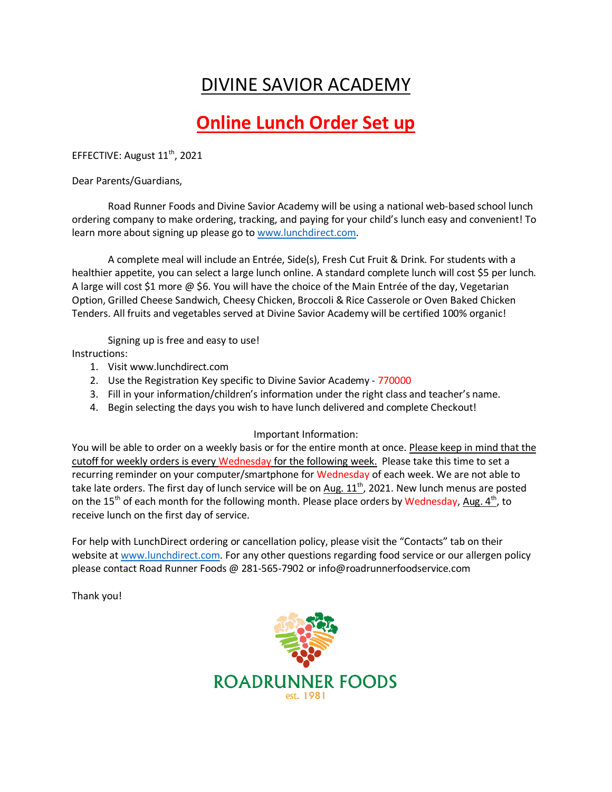### DIVINE SAVIOR ACADEMY

### **Online Lunch Order Set up**

EFFECTIVE: August 11<sup>th</sup>, 2021

Dear Parents/Guardians,

Road Runner Foods and Divine Savior Academy will be using a national web-based school lunch ordering company to make ordering, tracking, and paying for your child's lunch easy and convenient! To learn more about signing up please go t[o www.lunchdirect.com.](http://www.lunchdirect.com/)

A complete meal will include an Entrée, Side(s), Fresh Cut Fruit & Drink. For students with a healthier appetite, you can select a large lunch online. A standard complete lunch will cost \$5 per lunch. A large will cost \$1 more @ \$6. You will have the choice of the Main Entrée of the day, Vegetarian Option, Grilled Cheese Sandwich, Cheesy Chicken, Broccoli & Rice Casserole or Oven Baked Chicken Tenders. All fruits and vegetables served at Divine Savior Academy will be certified 100% organic!

Signing up is free and easy to use! Instructions:

- 1. Visit www.lunchdirect.com
- 2. Use the Registration Key specific to Divine Savior Academy 770000
- 3. Fill in your information/children's information under the right class and teacher's name.
- 4. Begin selecting the days you wish to have lunch delivered and complete Checkout!

#### Important Information:

You will be able to order on a weekly basis or for the entire month at once. Please keep in mind that the cutoff for weekly orders is every Wednesday for the following week. Please take this time to set a recurring reminder on your computer/smartphone for Wednesday of each week. We are not able to take late orders. The first day of lunch service will be on Aug.  $11<sup>th</sup>$ , 2021. New lunch menus are posted on the 15<sup>th</sup> of each month for the following month. Please place orders by Wednesday, Aug. 4<sup>th</sup>, to receive lunch on the first day of service.

For help with LunchDirect ordering or cancellation policy, please visit the "Contacts" tab on their website at [www.lunchdirect.com.](http://www.lunchdirect.com/) For any other questions regarding food service or our allergen policy please contact Road Runner Foods @ 281-565-7902 or info@roadrunnerfoodservice.com

Thank you!

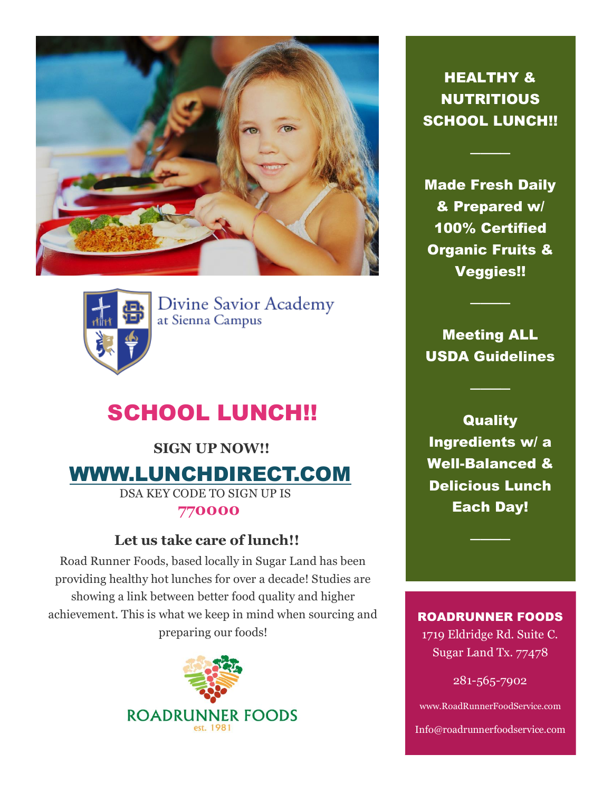



Divine Savior Academy at Sienna Campus

### SCHOOL LUNCH!!

## **SIGN UP NOW!!**  [WWW.LUNCHDIRECT.COM](http://www.lunchdirect.com/)

 DSA KEY CODE TO SIGN UP IS **770000**

#### **Let us take care of lunch!!**

Road Runner Foods, based locally in Sugar Land has been providing healthy hot lunches for over a decade! Studies are showing a link between better food quality and higher achievement. This is what we keep in mind when sourcing and preparing our foods!



HEALTHY & **NUTRITIOUS** SCHOOL LUNCH!!

────

Made Fresh Daily & Prepared w/ 100% Certified Organic Fruits & Veggies!!

Meeting ALL USDA Guidelines

────

────

**Quality** Ingredients w/ a Well-Balanced & Delicious Lunch Each Day!

#### ROADRUNNER FOODS

────

1719 Eldridge Rd. Suite C. Sugar Land Tx. 77478

281-565-7902

www.RoadRunnerFoodService.com

Info@roadrunnerfoodservice.com